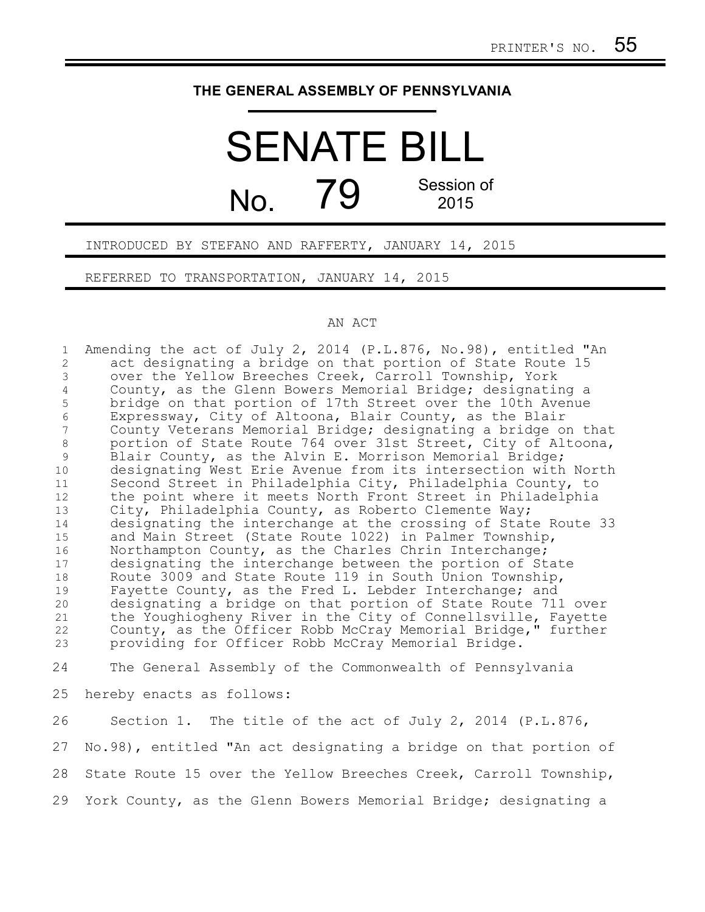## **THE GENERAL ASSEMBLY OF PENNSYLVANIA**

## SENATE BILL  $N<sub>0</sub>$  79 Session of 2015

INTRODUCED BY STEFANO AND RAFFERTY, JANUARY 14, 2015

REFERRED TO TRANSPORTATION, JANUARY 14, 2015

## AN ACT

Amending the act of July 2, 2014 (P.L.876, No.98), entitled "An act designating a bridge on that portion of State Route 15 over the Yellow Breeches Creek, Carroll Township, York County, as the Glenn Bowers Memorial Bridge; designating a bridge on that portion of 17th Street over the 10th Avenue Expressway, City of Altoona, Blair County, as the Blair County Veterans Memorial Bridge; designating a bridge on that portion of State Route 764 over 31st Street, City of Altoona, Blair County, as the Alvin E. Morrison Memorial Bridge; designating West Erie Avenue from its intersection with North Second Street in Philadelphia City, Philadelphia County, to the point where it meets North Front Street in Philadelphia City, Philadelphia County, as Roberto Clemente Way; designating the interchange at the crossing of State Route 33 and Main Street (State Route 1022) in Palmer Township, Northampton County, as the Charles Chrin Interchange; designating the interchange between the portion of State Route 3009 and State Route 119 in South Union Township, Fayette County, as the Fred L. Lebder Interchange; and designating a bridge on that portion of State Route 711 over the Youghiogheny River in the City of Connellsville, Fayette County, as the Officer Robb McCray Memorial Bridge," further providing for Officer Robb McCray Memorial Bridge. 1 2 3 4 5 6 7 8 9 10 11 12 13 14 15 16 17 18 19 20 21 22 23

The General Assembly of the Commonwealth of Pennsylvania 24

hereby enacts as follows: 25

Section 1. The title of the act of July 2, 2014 (P.L.876, No.98), entitled "An act designating a bridge on that portion of State Route 15 over the Yellow Breeches Creek, Carroll Township, York County, as the Glenn Bowers Memorial Bridge; designating a 26 27 28 29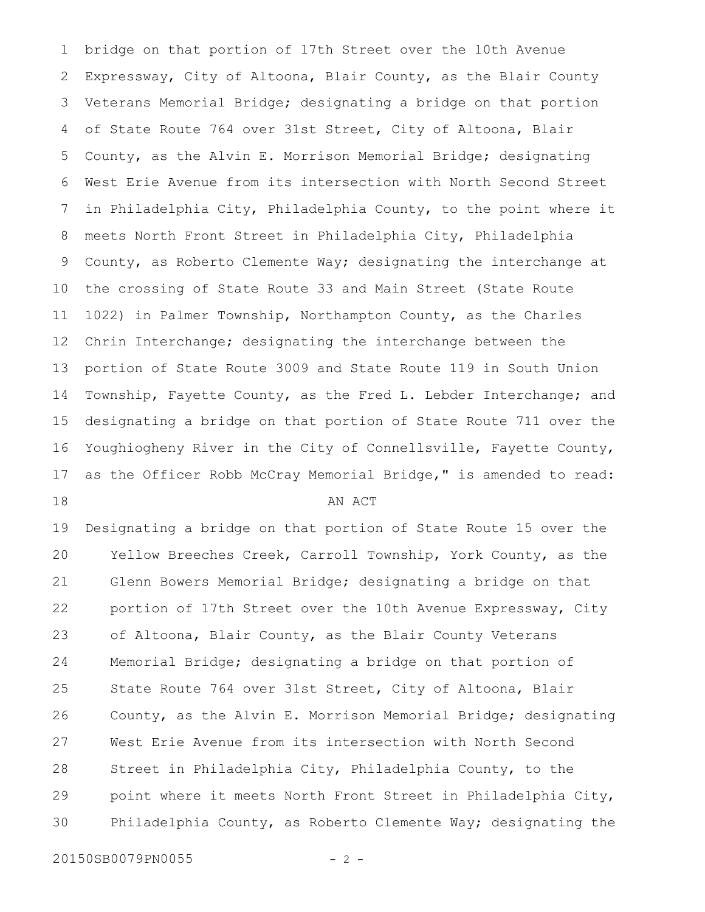bridge on that portion of 17th Street over the 10th Avenue Expressway, City of Altoona, Blair County, as the Blair County Veterans Memorial Bridge; designating a bridge on that portion of State Route 764 over 31st Street, City of Altoona, Blair County, as the Alvin E. Morrison Memorial Bridge; designating West Erie Avenue from its intersection with North Second Street in Philadelphia City, Philadelphia County, to the point where it meets North Front Street in Philadelphia City, Philadelphia County, as Roberto Clemente Way; designating the interchange at the crossing of State Route 33 and Main Street (State Route 1022) in Palmer Township, Northampton County, as the Charles Chrin Interchange; designating the interchange between the portion of State Route 3009 and State Route 119 in South Union Township, Fayette County, as the Fred L. Lebder Interchange; and designating a bridge on that portion of State Route 711 over the Youghiogheny River in the City of Connellsville, Fayette County, as the Officer Robb McCray Memorial Bridge," is amended to read: AN ACT 1 2 3 4 5 6 7 8 9 10 11 12 13 14 15 16 17 18

Designating a bridge on that portion of State Route 15 over the Yellow Breeches Creek, Carroll Township, York County, as the Glenn Bowers Memorial Bridge; designating a bridge on that portion of 17th Street over the 10th Avenue Expressway, City of Altoona, Blair County, as the Blair County Veterans Memorial Bridge; designating a bridge on that portion of State Route 764 over 31st Street, City of Altoona, Blair County, as the Alvin E. Morrison Memorial Bridge; designating West Erie Avenue from its intersection with North Second Street in Philadelphia City, Philadelphia County, to the point where it meets North Front Street in Philadelphia City, Philadelphia County, as Roberto Clemente Way; designating the 19 20 21 22 23 24 25 26 27 28 29 30